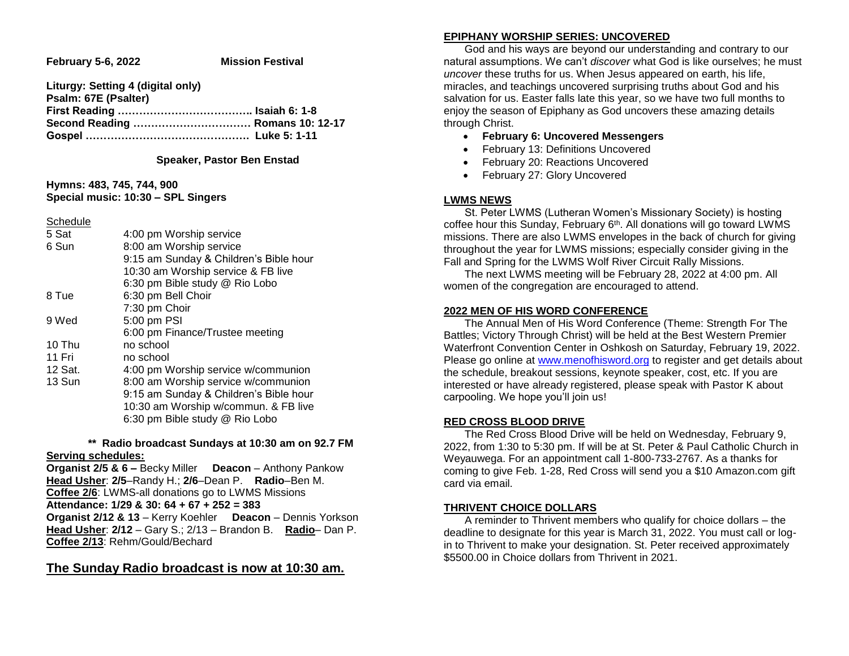**February 5-6, 2022 Mission Festival** 

| Liturgy: Setting 4 (digital only) |  |
|-----------------------------------|--|
| Psalm: 67E (Psalter)              |  |
|                                   |  |
| Second Reading  Romans 10: 12-17  |  |
|                                   |  |

#### **Speaker, Pastor Ben Enstad**

**Hymns: 483, 745, 744, 900 Special music: 10:30 – SPL Singers**

Schedule

| 5 Sat   | 4:00 pm Worship service                |
|---------|----------------------------------------|
| 6 Sun   | 8:00 am Worship service                |
|         | 9:15 am Sunday & Children's Bible hour |
|         | 10:30 am Worship service & FB live     |
|         | 6:30 pm Bible study @ Rio Lobo         |
| 8 Tue   | 6:30 pm Bell Choir                     |
|         | 7:30 pm Choir                          |
| 9 Wed   | 5:00 pm PSI                            |
|         | 6:00 pm Finance/Trustee meeting        |
| 10 Thu  | no school                              |
| 11 Fri  | no school                              |
| 12 Sat. | 4:00 pm Worship service w/communion    |
| 13 Sun  | 8:00 am Worship service w/communion    |
|         | 9:15 am Sunday & Children's Bible hour |
|         | 10:30 am Worship w/commun. & FB live   |
|         | 6:30 pm Bible study @ Rio Lobo         |
|         |                                        |

#### **\*\* Radio broadcast Sundays at 10:30 am on 92.7 FM Serving schedules:**

**Organist 2/5 & 6 –** Becky Miller **Deacon** – Anthony Pankow **Head Usher**: **2/5**–Randy H.; **2/6**–Dean P. **Radio**–Ben M. **Coffee 2/6**: LWMS-all donations go to LWMS Missions **Attendance: 1/29 & 30: 64 + 67 + 252 = 383 Organist 2/12 & 13** – Kerry Koehler **Deacon** – Dennis Yorkson **Head Usher**: **2/12** – Gary S.; 2/13 – Brandon B. **Radio**– Dan P. **Coffee 2/13**: Rehm/Gould/Bechard

### **The Sunday Radio broadcast is now at 10:30 am.**

#### **EPIPHANY WORSHIP SERIES: UNCOVERED**

 God and his ways are beyond our understanding and contrary to our natural assumptions. We can't *discover* what God is like ourselves; he must *uncover* these truths for us. When Jesus appeared on earth, his life, miracles, and teachings uncovered surprising truths about God and his salvation for us. Easter falls late this year, so we have two full months to enjoy the season of Epiphany as God uncovers these amazing details through Christ.

- **February 6: Uncovered Messengers**
- February 13: Definitions Uncovered
- February 20: Reactions Uncovered
- February 27: Glory Uncovered

#### **LWMS NEWS**

 St. Peter LWMS (Lutheran Women's Missionary Society) is hosting coffee hour this Sunday, February 6th. All donations will go toward LWMS missions. There are also LWMS envelopes in the back of church for giving throughout the year for LWMS missions; especially consider giving in the Fall and Spring for the LWMS Wolf River Circuit Rally Missions.

 The next LWMS meeting will be February 28, 2022 at 4:00 pm. All women of the congregation are encouraged to attend.

#### **2022 MEN OF HIS WORD CONFERENCE**

 The Annual Men of His Word Conference (Theme: Strength For The Battles; Victory Through Christ) will be held at the Best Western Premier Waterfront Convention Center in Oshkosh on Saturday, February 19, 2022. Please go online at [www.menofhisword.org](http://www.menofhisword.org/) to register and get details about the schedule, breakout sessions, keynote speaker, cost, etc. If you are interested or have already registered, please speak with Pastor K about carpooling. We hope you'll join us!

#### **RED CROSS BLOOD DRIVE**

 The Red Cross Blood Drive will be held on Wednesday, February 9, 2022, from 1:30 to 5:30 pm. If will be at St. Peter & Paul Catholic Church in Weyauwega. For an appointment call 1-800-733-2767. As a thanks for coming to give Feb. 1-28, Red Cross will send you a \$10 Amazon.com gift card via email.

#### **THRIVENT CHOICE DOLLARS**

 A reminder to Thrivent members who qualify for choice dollars – the deadline to designate for this year is March 31, 2022. You must call or login to Thrivent to make your designation. St. Peter received approximately \$5500.00 in Choice dollars from Thrivent in 2021.